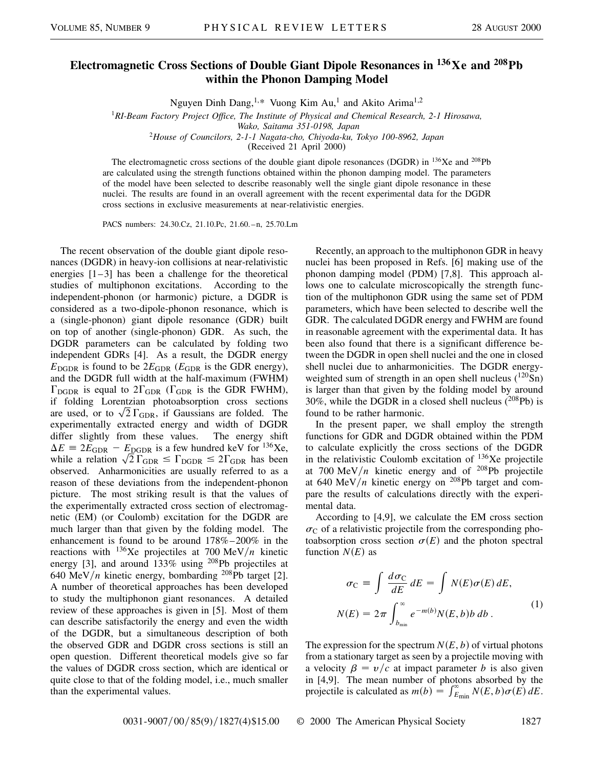## **Electromagnetic Cross Sections of Double Giant Dipole Resonances in 136Xe and 208Pb within the Phonon Damping Model**

Nguyen Dinh Dang,<sup>1,\*</sup> Vuong Kim Au,<sup>1</sup> and Akito Arima<sup>1,2</sup>

<sup>1</sup>*RI-Beam Factory Project Office, The Institute of Physical and Chemical Research, 2-1 Hirosawa,*

*Wako, Saitama 351-0198, Japan*

<sup>2</sup>*House of Councilors, 2-1-1 Nagata-cho, Chiyoda-ku, Tokyo 100-8962, Japan*

(Received 21 April 2000)

The electromagnetic cross sections of the double giant dipole resonances (DGDR) in  $^{136}Xe$  and  $^{208}Pb$ are calculated using the strength functions obtained within the phonon damping model. The parameters of the model have been selected to describe reasonably well the single giant dipole resonance in these nuclei. The results are found in an overall agreement with the recent experimental data for the DGDR cross sections in exclusive measurements at near-relativistic energies.

PACS numbers: 24.30.Cz, 21.10.Pc, 21.60.–n, 25.70.Lm

The recent observation of the double giant dipole resonances (DGDR) in heavy-ion collisions at near-relativistic energies  $[1-3]$  has been a challenge for the theoretical studies of multiphonon excitations. According to the independent-phonon (or harmonic) picture, a DGDR is considered as a two-dipole-phonon resonance, which is a (single-phonon) giant dipole resonance (GDR) built on top of another (single-phonon) GDR. As such, the DGDR parameters can be calculated by folding two independent GDRs [4]. As a result, the DGDR energy  $E_{\text{DGDR}}$  is found to be  $2E_{\text{GDR}}$  ( $E_{\text{GDR}}$  is the GDR energy), and the DGDR full width at the half-maximum (FWHM)  $\Gamma_{\text{DGDR}}$  is equal to  $2\Gamma_{\text{GDR}}$  ( $\Gamma_{\text{GDR}}$  is the GDR FWHM), if folding Lorentzian photoabsorption cross sections if folding Lorentzian photoabsorption cross sections<br>are used, or to  $\sqrt{2} \Gamma_{\text{GDR}}$ , if Gaussians are folded. The experimentally extracted energy and width of DGDR differ slightly from these values. The energy shift  $\Delta E \equiv 2E_{\text{GDR}} - E_{\text{DGDR}}$  is a few hundred keV for <sup>136</sup>Xe,  $\Delta E \equiv 2E_{\rm GDR} - E_{\rm DGBR}$  is a few hundred keV for <sup>150</sup>Xe,<br>while a relation  $\sqrt{2} \Gamma_{\rm GDR} \le \Gamma_{\rm DGBR} \le 2\Gamma_{\rm GDR}$  has been observed. Anharmonicities are usually referred to as a reason of these deviations from the independent-phonon picture. The most striking result is that the values of the experimentally extracted cross section of electromagnetic (EM) (or Coulomb) excitation for the DGDR are much larger than that given by the folding model. The enhancement is found to be around 178%–200% in the reactions with  $136$ Xe projectiles at 700 MeV/*n* kinetic energy [3], and around 133% using <sup>208</sup>Pb projectiles at 640 MeV/*n* kinetic energy, bombarding <sup>208</sup>Pb target [2]. A number of theoretical approaches has been developed to study the multiphonon giant resonances. A detailed review of these approaches is given in [5]. Most of them can describe satisfactorily the energy and even the width of the DGDR, but a simultaneous description of both the observed GDR and DGDR cross sections is still an open question. Different theoretical models give so far the values of DGDR cross section, which are identical or quite close to that of the folding model, i.e., much smaller than the experimental values.

Recently, an approach to the multiphonon GDR in heavy nuclei has been proposed in Refs. [6] making use of the phonon damping model (PDM) [7,8]. This approach allows one to calculate microscopically the strength function of the multiphonon GDR using the same set of PDM parameters, which have been selected to describe well the GDR. The calculated DGDR energy and FWHM are found in reasonable agreement with the experimental data. It has been also found that there is a significant difference between the DGDR in open shell nuclei and the one in closed shell nuclei due to anharmonicities. The DGDR energyweighted sum of strength in an open shell nucleus  $(^{120}Sn)$ is larger than that given by the folding model by around 30%, while the DGDR in a closed shell nucleus  $(^{208}Pb)$  is found to be rather harmonic.

In the present paper, we shall employ the strength functions for GDR and DGDR obtained within the PDM to calculate explicitly the cross sections of the DGDR in the relativistic Coulomb excitation of  $136Xe$  projectile at 700 MeV/ $n$  kinetic energy and of <sup>208</sup>Pb projectile at 640 MeV/ $n$  kinetic energy on <sup>208</sup>Pb target and compare the results of calculations directly with the experimental data.

According to [4,9], we calculate the EM cross section  $\sigma_{\rm C}$  of a relativistic projectile from the corresponding photoabsorption cross section  $\sigma(E)$  and the photon spectral function  $N(E)$  as

$$
\sigma_{\rm C} \equiv \int \frac{d\sigma_{\rm C}}{dE} dE = \int N(E)\sigma(E) dE,
$$
  

$$
N(E) = 2\pi \int_{b_{\rm min}}^{\infty} e^{-m(b)} N(E, b) b \, db.
$$
 (1)

The expression for the spectrum  $N(E, b)$  of virtual photons from a stationary target as seen by a projectile moving with a velocity  $\beta = v/c$  at impact parameter *b* is also given in [4,9]. The mean number of photons absorbed by the projectile is calculated as  $m(b) = \int_{E_{min}}^{\infty} N(E, b) \sigma(E) dE$ .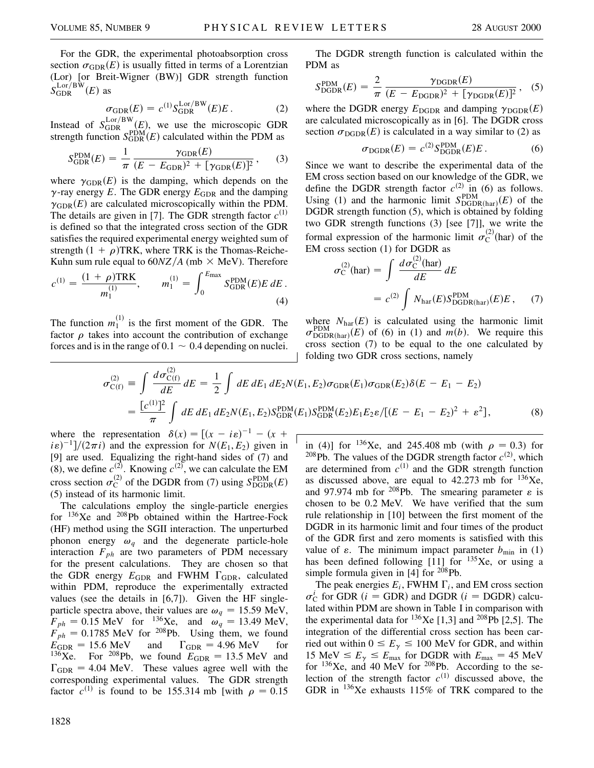For the GDR, the experimental photoabsorption cross section  $\sigma_{\text{GDR}}(E)$  is usually fitted in terms of a Lorentzian (Lor) [or Breit-Wigner (BW)] GDR strength function  $S_{\rm GDR}^{\rm Lor/BW}(E)$  as

$$
\sigma_{\text{GDR}}(E) = c^{(1)} S_{\text{GDR}}^{\text{Lor/BW}}(E) E. \tag{2}
$$

Instead of  $S_{\text{GDR}}^{\text{Lor/BW}}(E)$ , we use the microscopic GDR strength function  $S_{\text{GDR}}^{\text{PDM}}(E)$  calculated within the PDM as

$$
S_{\text{GDR}}^{\text{PDM}}(E) = \frac{1}{\pi} \frac{\gamma_{\text{GDR}}(E)}{(E - E_{\text{GDR}})^2 + [\gamma_{\text{GDR}}(E)]^2},\qquad(3)
$$

where  $\gamma_{\text{GDR}}(E)$  is the damping, which depends on the  $\gamma$ -ray energy *E*. The GDR energy  $E_{GDR}$  and the damping  $\gamma_{\text{GDR}}(E)$  are calculated microscopically within the PDM. The details are given in [7]. The GDR strength factor  $c^{(1)}$ is defined so that the integrated cross section of the GDR satisfies the required experimental energy weighted sum of strength  $(1 + \rho)$ TRK, where TRK is the Thomas-Reiche-Kuhn sum rule equal to  $60NZ/A$  (mb  $\times$  MeV). Therefore

$$
c^{(1)} = \frac{(1+\rho)\text{TRK}}{m_1^{(1)}}, \qquad m_1^{(1)} = \int_0^{E_{\text{max}}} S_{\text{GDR}}^{\text{PDM}}(E) E \, dE \,.
$$
\n(4)

The function  $m_1^{(1)}$  is the first moment of the GDR. The factor  $\rho$  takes into account the contribution of exchange forces and is in the range of  $0.1 \sim 0.4$  depending on nuclei.

 $\overline{a}$ 

The DGDR strength function is calculated within the PDM as

$$
S_{\text{DGBR}}^{\text{PDM}}(E) = \frac{2}{\pi} \frac{\gamma_{\text{DGBR}}(E)}{(E - E_{\text{DGBR}})^2 + [\gamma_{\text{DGBR}}(E)]^2}, \quad (5)
$$

where the DGDR energy  $E_{\text{DGDR}}$  and damping  $\gamma_{\text{DGDR}}(E)$ are calculated microscopically as in [6]. The DGDR cross section  $\sigma_{\text{DGDR}}(E)$  is calculated in a way similar to (2) as

$$
\sigma_{\text{DGDR}}(E) = c^{(2)} S_{\text{DGDR}}^{\text{PDM}}(E) E. \tag{6}
$$

Since we want to describe the experimental data of the EM cross section based on our knowledge of the GDR, we define the DGDR strength factor  $c^{(2)}$  in (6) as follows. Using (1) and the harmonic limit  $S_{\text{DGDR}(\text{har})}^{\text{PDM}}(E)$  of the DGDR strength function (5), which is obtained by folding two GDR strength functions (3) [see [7]], we write the formal expression of the harmonic limit  $\sigma_C^{(2)}$ (har) of the EM cross section (1) for DGDR as

$$
\sigma_{\rm C}^{(2)}(\text{har}) = \int \frac{d\sigma_{\rm C}^{(2)}(\text{har})}{dE} dE
$$

$$
= c^{(2)} \int N_{\text{har}}(E) S_{\text{DGBR(har)}}^{\text{PDM}}(E) E , \quad (7)
$$

where  $N_{\text{har}}(E)$  is calculated using the harmonic limit  $\sigma_{\text{DGDR(har)}}^{\text{PDM}}(E)$  of (6) in (1) and  $m(b)$ . We require this cross section (7) to be equal to the one calculated by folding two GDR cross sections, namely

$$
\sigma_{C(f)}^{(2)} = \int \frac{d\sigma_{C(f)}^{(2)}}{dE} dE = \frac{1}{2} \int dE dE_1 dE_2 N(E_1, E_2) \sigma_{GDR}(E_1) \sigma_{GDR}(E_2) \delta(E - E_1 - E_2)
$$
  
= 
$$
\frac{[c^{(1)}]^2}{\pi} \int dE dE_1 dE_2 N(E_1, E_2) S_{GDR}^{\text{PDM}}(E_1) S_{GDR}^{\text{PDM}}(E_2) E_1 E_2 \varepsilon / [(E - E_1 - E_2)^2 + \varepsilon^2],
$$
 (8)

where the representation  $\delta(x) = [(x - i\varepsilon)^{-1} - (x +$  $i\epsilon$ <sup>-1</sup>]/(2 $\pi i$ ) and the expression for *N*(*E*<sub>1</sub>, *E*<sub>2</sub>) given in [9] are used. Equalizing the right-hand sides of (7) and (8), we define  $c^{(2)}$ . Knowing  $c^{(2)}$ , we can calculate the EM cross section  $\sigma_C^{(2)}$  of the DGDR from (7) using  $S_{\text{DGBR}}^{\text{PDM}}(E)$ (5) instead of its harmonic limit.

The calculations employ the single-particle energies for <sup>136</sup>Xe and <sup>208</sup>Pb obtained within the Hartree-Fock (HF) method using the SGII interaction. The unperturbed phonon energy  $\omega_q$  and the degenerate particle-hole interaction  $F_{ph}$  are two parameters of PDM necessary for the present calculations. They are chosen so that the GDR energy  $E_{GDR}$  and FWHM  $\Gamma_{GDR}$ , calculated within PDM, reproduce the experimentally extracted values (see the details in [6,7]). Given the HF singleparticle spectra above, their values are  $\omega_q = 15.59$  MeV,  $F_{ph} = 0.15$  MeV for <sup>136</sup>Xe, and  $\omega_q = 13.49$  MeV,  $F_{ph} = 0.1785$  MeV for <sup>208</sup>Pb. Using them, we found  $E_{\text{GDR}} = 15.6 \text{ MeV}$  and  $\Gamma_{\text{GDR}} = 4.96 \text{ MeV}$  for <sup>136</sup>Xe. For <sup>208</sup>Pb, we found  $E_{GDR} = 13.5$  MeV and  $\Gamma_{\text{GDR}} = 4.04$  MeV. These values agree well with the corresponding experimental values. The GDR strength factor  $c^{(1)}$  is found to be 155.314 mb [with  $\rho = 0.15$  in (4)] for <sup>136</sup>Xe, and 245.408 mb (with  $\rho = 0.3$ ) for <sup>208</sup>Pb. The values of the DGDR strength factor  $c^{(2)}$ , which are determined from  $c^{(1)}$  and the GDR strength function as discussed above, are equal to  $42.273$  mb for  $136Xe$ , and 97.974 mb for <sup>208</sup>Pb. The smearing parameter  $\varepsilon$  is chosen to be 0.2 MeV. We have verified that the sum rule relationship in [10] between the first moment of the DGDR in its harmonic limit and four times of the product of the GDR first and zero moments is satisfied with this value of  $\varepsilon$ . The minimum impact parameter  $b_{\min}$  in (1) has been defined following  $[11]$  for  $135Xe$ , or using a simple formula given in  $[4]$  for <sup>208</sup>Pb.

The peak energies  $E_i$ , FWHM  $\Gamma_i$ , and EM cross section  $\sigma_C^i$  for GDR *(i = GDR)* and DGDR *(i = DGDR)* calculated within PDM are shown in Table I in comparison with the experimental data for  $^{136}$ Xe [1,3] and  $^{208}$ Pb [2,5]. The integration of the differential cross section has been carried out within  $0 \le E_{\gamma} \le 100$  MeV for GDR, and within 15 MeV  $\le E_\gamma \le E_{\text{max}}$  for DGDR with  $E_{\text{max}} = 45$  MeV for  $136Xe$ , and 40 MeV for  $208Pb$ . According to the selection of the strength factor  $c^{(1)}$  discussed above, the GDR in <sup>136</sup>Xe exhausts 115% of TRK compared to the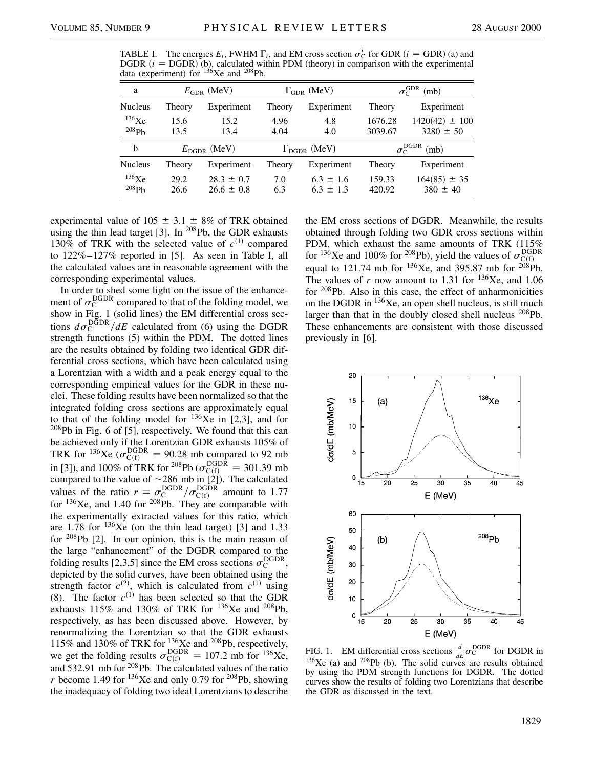TABLE I. The energies  $E_i$ , FWHM  $\Gamma_i$ , and EM cross section  $\sigma_C^i$  for GDR  $(i = GDR)$  (a) and DGDR  $(i = DGDR)$  (b), calculated within PDM (theory) in comparison with the experimental data (experiment) for  $136$ Xe and  $208$ Pb.

| a              | $E_{\rm GDR}$ (MeV)     |                | $\Gamma_{\text{GDR}}$ (MeV)  |               | $\sigma_\mathrm{C}^\mathrm{GDR}$<br>(mb) |                    |
|----------------|-------------------------|----------------|------------------------------|---------------|------------------------------------------|--------------------|
| <b>Nucleus</b> | Theory                  | Experiment     | Theory                       | Experiment    | Theory                                   | Experiment         |
| 136Xe          | 15.6                    | 15.2           | 4.96                         | 4.8           | 1676.28                                  | $1420(42) \pm 100$ |
| 208Pb          | 13.5                    | 13.4           | 4.04                         | 4.0           | 3039.67                                  | $3280 \pm 50$      |
| b              | $E_{\text{DGDR}}$ (MeV) |                | $\Gamma_{\text{DGDR}}$ (MeV) |               | <b>DGDR</b><br>(mb)<br>$\sigma_{\rm C}$  |                    |
| <b>Nucleus</b> | Theory                  | Experiment     | Theory                       | Experiment    | Theory                                   | Experiment         |
| 136Xe          | 29.2                    | $28.3 \pm 0.7$ | 7.0                          | $6.3 \pm 1.6$ | 159.33                                   | $164(85) \pm 35$   |
| 208Pb          | 26.6                    | $26.6 \pm 0.8$ | 6.3                          | $6.3 \pm 1.3$ | 420.92                                   | $380 \pm 40$       |

experimental value of 105  $\pm$  3.1  $\pm$  8% of TRK obtained using the thin lead target [3]. In  $^{208}Pb$ , the GDR exhausts 130% of TRK with the selected value of  $c^{(1)}$  compared to 122%–127% reported in [5]. As seen in Table I, all the calculated values are in reasonable agreement with the corresponding experimental values.

In order to shed some light on the issue of the enhancement of  $\sigma_{\rm C}^{\rm DGDR}$  compared to that of the folding model, we show in Fig. 1 (solid lines) the EM differential cross sections  $d\sigma_C^{\text{DGDR}}/dE$  calculated from (6) using the DGDR strength functions (5) within the PDM. The dotted lines are the results obtained by folding two identical GDR differential cross sections, which have been calculated using a Lorentzian with a width and a peak energy equal to the corresponding empirical values for the GDR in these nuclei. These folding results have been normalized so that the integrated folding cross sections are approximately equal to that of the folding model for  $136Xe$  in [2,3], and for  $208Pb$  in Fig. 6 of [5], respectively. We found that this can be achieved only if the Lorentzian GDR exhausts 105% of TRK for <sup>136</sup>Xe ( $\sigma_{C(f)}^{DGDR}$  = 90.28 mb compared to 92 mb in [3]), and 100% of TRK for <sup>208</sup>Pb ( $\sigma_{C(f)}^{\text{DGDR}} = 301.39 \text{ mb}$ compared to the value of  $\sim$ 286 mb in [2]). The calculated values of the ratio  $r \equiv \frac{\sigma_{\text{C}}^{\text{DGDR}}}{\sigma_{\text{C}}^{\text{DGDR}}}$  amount to 1.77 for  $136Xe$ , and 1.40 for  $208Pb$ . They are comparable with the experimentally extracted values for this ratio, which are 1.78 for  $136Xe$  (on the thin lead target) [3] and 1.33 for <sup>208</sup>Pb [2]. In our opinion, this is the main reason of the large "enhancement" of the DGDR compared to the folding results [2,3,5] since the EM cross sections  $\sigma_C^{\text{DGPR}}$ , depicted by the solid curves, have been obtained using the strength factor  $c^{(2)}$ , which is calculated from  $c^{(1)}$  using (8). The factor  $c^{(1)}$  has been selected so that the GDR exhausts 115% and 130% of TRK for <sup>136</sup>Xe and <sup>208</sup>Pb, respectively, as has been discussed above. However, by renormalizing the Lorentzian so that the GDR exhausts 115% and 130% of TRK for  $^{136}$ Xe and  $^{208}$ Pb, respectively, we get the folding results  $\sigma_{\text{C(f)}}^{\text{DGDR}} = 107.2 \text{ mb} \text{ for }^{136}\text{Xe},$ and  $532.91$  mb for  $208$ Pb. The calculated values of the ratio *r* become 1.49 for  $^{136}$ Xe and only 0.79 for  $^{208}$ Pb, showing the inadequacy of folding two ideal Lorentzians to describe the EM cross sections of DGDR. Meanwhile, the results obtained through folding two GDR cross sections within PDM, which exhaust the same amounts of TRK (115%) for <sup>136</sup>Xe and 100% for <sup>208</sup>Pb), yield the values of  $\sigma_{C(f)}^{DGDR}$ equal to 121.74 mb for  $^{136}$ Xe, and 395.87 mb for  $^{208}$ Pb. The values of  $r$  now amount to 1.31 for <sup>136</sup>Xe, and 1.06 for <sup>208</sup>Pb. Also in this case, the effect of anharmonicities on the DGDR in  $136Xe$ , an open shell nucleus, is still much larger than that in the doubly closed shell nucleus <sup>208</sup>Pb. These enhancements are consistent with those discussed previously in [6].



FIG. 1. EM differential cross sections  $\frac{d}{dE} \sigma_{\rm C}^{\rm DGDR}$  for DGDR in  $136Xe$  (a) and  $208Pb$  (b). The solid curves are results obtained by using the PDM strength functions for DGDR. The dotted curves show the results of folding two Lorentzians that describe the GDR as discussed in the text.